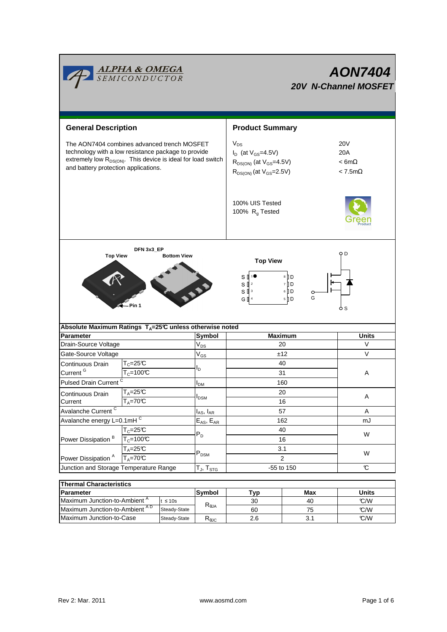

# **AON7404 20V N-Channel MOSFET**

| <b>General Description</b>                                                                                                                                                                                             |                                                       |                                               | <b>Product Summary</b>                                                                                            |                                                             |  |  |  |
|------------------------------------------------------------------------------------------------------------------------------------------------------------------------------------------------------------------------|-------------------------------------------------------|-----------------------------------------------|-------------------------------------------------------------------------------------------------------------------|-------------------------------------------------------------|--|--|--|
| The AON7404 combines advanced trench MOSFET<br>technology with a low resistance package to provide<br>extremely low R <sub>DS(ON)</sub> . This device is ideal for load switch<br>and battery protection applications. |                                                       |                                               | $V_{DS}$<br>$I_D$ (at $V_{GS} = 4.5V$ )<br>$R_{DS(ON)}$ (at $V_{GS}$ =4.5V)<br>$R_{DS(ON)}$ (at $V_{GS} = 2.5V$ ) | <b>20V</b><br>20A<br>$< 6m\Omega$<br>$< 7.5 \text{m}\Omega$ |  |  |  |
|                                                                                                                                                                                                                        |                                                       | 100% UIS Tested<br>100% R <sub>g</sub> Tested |                                                                                                                   |                                                             |  |  |  |
| DFN 3x3_EP<br><b>Top View</b><br><b>Bottom View</b>                                                                                                                                                                    |                                                       |                                               | o D<br><b>Top View</b><br>8 ID<br>S<br>$S^{12}$<br>7 D<br>$6$ D<br>s₫                                             |                                                             |  |  |  |
| G<br>5 D<br>G $\sqrt{3}$ 4<br>Pin 1<br>S<br>Absolute Maximum Ratings T <sub>A</sub> =25℃ unless otherwise noted                                                                                                        |                                                       |                                               |                                                                                                                   |                                                             |  |  |  |
| <b>Parameter</b>                                                                                                                                                                                                       |                                                       | <b>Symbol</b>                                 | <b>Maximum</b>                                                                                                    | <b>Units</b>                                                |  |  |  |
| Drain-Source Voltage                                                                                                                                                                                                   |                                                       | $V_{DS}$                                      | 20                                                                                                                | V                                                           |  |  |  |
| Gate-Source Voltage                                                                                                                                                                                                    | $V_{GS}$                                              |                                               | ±12                                                                                                               | $\vee$                                                      |  |  |  |
| $T_c = 25C$<br>Continuous Drain<br>Current <sup>G</sup><br>$T_c = 100C$                                                                                                                                                |                                                       |                                               | 40<br>31                                                                                                          | Α                                                           |  |  |  |
| <b>Pulsed Drain Current</b>                                                                                                                                                                                            | <b>I</b> <sub>DM</sub>                                |                                               | 160                                                                                                               |                                                             |  |  |  |
| Continuous Drain<br>Current                                                                                                                                                                                            | $T_A = 25C$<br><b>I</b> <sub>DSM</sub><br>$T_A = 70C$ |                                               | 20<br>16                                                                                                          | Α                                                           |  |  |  |
| Avalanche Current <sup>C</sup>                                                                                                                                                                                         |                                                       | $I_{AS}$ , $I_{AR}$                           | 57                                                                                                                | A                                                           |  |  |  |
| Avalanche energy L=0.1mHC                                                                                                                                                                                              |                                                       | $E_{AS}$ , $E_{AR}$                           | 162                                                                                                               | mJ                                                          |  |  |  |
|                                                                                                                                                                                                                        | $T_c = 25C$                                           | $\mathsf{P}_\mathsf{D}$                       | 40                                                                                                                |                                                             |  |  |  |
| Power Dissipation <sup>B</sup>                                                                                                                                                                                         | $T_c = 100C$                                          |                                               | 16                                                                                                                | W                                                           |  |  |  |
|                                                                                                                                                                                                                        | $T_A = 25C$                                           |                                               | 3.1                                                                                                               |                                                             |  |  |  |
| Power Dissipation <sup>A</sup><br>$T_A = 70^\circ C$                                                                                                                                                                   |                                                       | $P_{DSM}$                                     | $\overline{2}$                                                                                                    | W                                                           |  |  |  |
| Junction and Storage Temperature Range                                                                                                                                                                                 |                                                       | $T_{J}$ , $T_{STG}$                           | -55 to 150                                                                                                        | C                                                           |  |  |  |
| Thormal Characteristics                                                                                                                                                                                                |                                                       |                                               |                                                                                                                   |                                                             |  |  |  |

|                  | <b>Thermal Characteristics</b>           |              |                |     |              |     |  |  |
|------------------|------------------------------------------|--------------|----------------|-----|--------------|-----|--|--|
| <b>Parameter</b> |                                          | Symbol       | Typ.           | Max | <b>Units</b> |     |  |  |
|                  | Maximum Junction-to-Ambient <sup>A</sup> | $t \leq 10s$ |                | 30  | 40           | C/W |  |  |
|                  | Maximum Junction-to-Ambient AD           | Steady-State | $R_{\theta$ JA | 60  | 75           | C/W |  |  |
|                  | Maximum Junction-to-Case                 | Steady-State | $R_{\theta$ JC | 2.6 | 3.1          | C/W |  |  |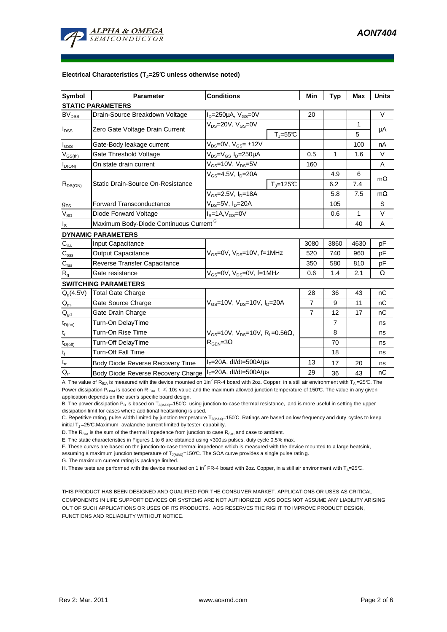

#### **Electrical Characteristics (TJ=25°C unless otherwise noted)**

| <b>Symbol</b>              | Parameter                                          | <b>Conditions</b>                                    | Min                     | Typ            | <b>Max</b> | <b>Units</b> |  |  |  |
|----------------------------|----------------------------------------------------|------------------------------------------------------|-------------------------|----------------|------------|--------------|--|--|--|
| <b>STATIC PARAMETERS</b>   |                                                    |                                                      |                         |                |            |              |  |  |  |
| $\mathsf{BV}_\mathsf{DSS}$ | Drain-Source Breakdown Voltage                     | $I_D = 250 \mu A$ , $V_{GS} = 0V$                    | 20                      |                |            | V            |  |  |  |
|                            | Zero Gate Voltage Drain Current                    | $V_{DS}$ =20V, $V_{GS}$ =0V                          |                         |                | 1          | μA           |  |  |  |
| $I_{DSS}$                  |                                                    |                                                      | $T_{\parallel} = 55$ °C |                | 5          |              |  |  |  |
| l <sub>GSS</sub>           | Gate-Body leakage current                          | $V_{DS}$ =0V, $V_{GS}$ = ±12V                        |                         |                | 100        | nA           |  |  |  |
| $V_{GS(th)}$               | Gate Threshold Voltage                             | $V_{DS} = V_{GS} I_D = 250 \mu A$                    | 0.5                     | $\mathbf{1}$   | 1.6        | $\vee$       |  |  |  |
| $I_{D(ON)}$                | On state drain current                             | $V_{GS}$ =10V, $V_{DS}$ =5V                          | 160                     |                |            | A            |  |  |  |
|                            | Static Drain-Source On-Resistance                  | $V_{GS}$ =4.5V, $I_{D}$ =20A                         |                         | 4.9            | 6          | $m\Omega$    |  |  |  |
| $R_{DS(ON)}$               |                                                    |                                                      | $T_J = 125C$            | 6.2            | 7.4        |              |  |  |  |
|                            |                                                    | $V_{GS}$ =2.5V, I <sub>D</sub> =18A                  |                         | 5.8            | 7.5        | $m\Omega$    |  |  |  |
| $g_{FS}$                   | <b>Forward Transconductance</b>                    | $V_{DS} = 5V$ , $I_D = 20A$                          |                         | 105            |            | S            |  |  |  |
| $V_{SD}$                   | Diode Forward Voltage                              | $I_S = 1A, V_{GS} = 0V$                              |                         | 0.6            | 1          | $\vee$       |  |  |  |
| $I_{\rm S}$                | Maximum Body-Diode Continuous Current <sup>G</sup> |                                                      |                         |                | 40         | A            |  |  |  |
|                            | <b>DYNAMIC PARAMETERS</b>                          |                                                      |                         |                |            |              |  |  |  |
| $C_{\text{iss}}$           | Input Capacitance                                  |                                                      | 3080                    | 3860           | 4630       | pF           |  |  |  |
| $C_{\rm{oss}}$             | <b>Output Capacitance</b>                          | $V_{GS}$ =0V, $V_{DS}$ =10V, f=1MHz                  | 520                     | 740            | 960        | рF           |  |  |  |
| $C_{\text{rss}}$           | Reverse Transfer Capacitance                       |                                                      | 350                     | 580            | 810        | pF           |  |  |  |
| $\mathsf{R}_{\mathsf{g}}$  | Gate resistance                                    | $V_{GS}$ =0V, $V_{DS}$ =0V, f=1MHz                   | 0.6                     | 1.4            | 2.1        | Ω            |  |  |  |
|                            | <b>SWITCHING PARAMETERS</b>                        |                                                      |                         |                |            |              |  |  |  |
| $Q_q(4.5V)$                | <b>Total Gate Charge</b>                           |                                                      | 28                      | 36             | 43         | nC           |  |  |  |
| $\mathsf{Q}_{\mathsf{gs}}$ | Gate Source Charge                                 | $V_{GS}$ =10V, $V_{DS}$ =10V, $I_D$ =20A             | $\overline{7}$          | 9              | 11         | nC           |  |  |  |
| $\mathsf{Q}_{\mathsf{gd}}$ | Gate Drain Charge                                  |                                                      | $\overline{7}$          | 12             | 17         | nC           |  |  |  |
| $t_{D(on)}$                | Turn-On DelayTime                                  |                                                      |                         | $\overline{7}$ |            | ns           |  |  |  |
| $t_r$                      | Turn-On Rise Time                                  | $V_{GS}$ =10V, $V_{DS}$ =10V, R <sub>L</sub> =0.56Ω, |                         | 8              |            | ns           |  |  |  |
| $t_{D(\text{off})}$        | Turn-Off DelayTime                                 | $R_{\text{GEN}} = 3\Omega$                           |                         | 70             |            | ns           |  |  |  |
| $\mathbf{t}_\text{f}$      | <b>Turn-Off Fall Time</b>                          |                                                      |                         | 18             |            | ns           |  |  |  |
| $t_{rr}$                   | Body Diode Reverse Recovery Time                   | $I_F = 20A$ , dl/dt=500A/ $\mu$ s                    | 13                      | 17             | 20         | ns           |  |  |  |
| $\mathsf{Q}_{\mathsf{rr}}$ | Body Diode Reverse Recovery Charge                 | $I_F = 20A$ , dl/dt=500A/ $\mu$ s                    | 29                      | 36             | 43         | nC           |  |  |  |

A. The value of R<sub>θJA</sub> is measured with the device mounted on 1in<sup>2</sup> FR-4 board with 2oz. Copper, in a still air environment with T<sub>A</sub> = 25°C. The Power dissipation P<sub>DSM</sub> is based on R<sub>6JA</sub> t  $\leq$  10s value and the maximum allowed junction temperature of 150°C. The value in any given application depends on the user's specific board design.

B. The power dissipation  $P_D$  is based on  $T_{J(MAX)}=150^{\circ}C$ , using junction-to-case thermal resistance, and is more useful in setting the upper dissipation limit for cases where additional heatsinking is used.

C. Repetitive rating, pulse width limited by junction temperature  $T_{J(MAN)}$ =150°C. Ratings are based on low frequency and duty cycles to keep initial  $T_J = 25^\circ \text{C}$ . Maximum avalanche current limited by tester capability.

D. The  $R_{\theta JA}$  is the sum of the thermal impedence from junction to case  $R_{\theta JC}$  and case to ambient.

E. The static characteristics in Figures 1 to 6 are obtained using <300µs pulses, duty cycle 0.5% max.

F. These curves are based on the junction-to-case thermal impedence which is measured with the device mounted to a large heatsink,

assuming a maximum junction temperature of  $T_{J(MAX)}$ =150°C. The SOA curve provides a single pulse ratin g.

G. The maximum current rating is package limited.

H. These tests are performed with the device mounted on 1 in<sup>2</sup> FR-4 board with 2oz. Copper, in a still air environment with T<sub>A</sub>=25°C.

THIS PRODUCT HAS BEEN DESIGNED AND QUALIFIED FOR THE CONSUMER MARKET. APPLICATIONS OR USES AS CRITICAL COMPONENTS IN LIFE SUPPORT DEVICES OR SYSTEMS ARE NOT AUTHORIZED. AOS DOES NOT ASSUME ANY LIABILITY ARISING OUT OF SUCH APPLICATIONS OR USES OF ITS PRODUCTS. AOS RESERVES THE RIGHT TO IMPROVE PRODUCT DESIGN, FUNCTIONS AND RELIABILITY WITHOUT NOTICE.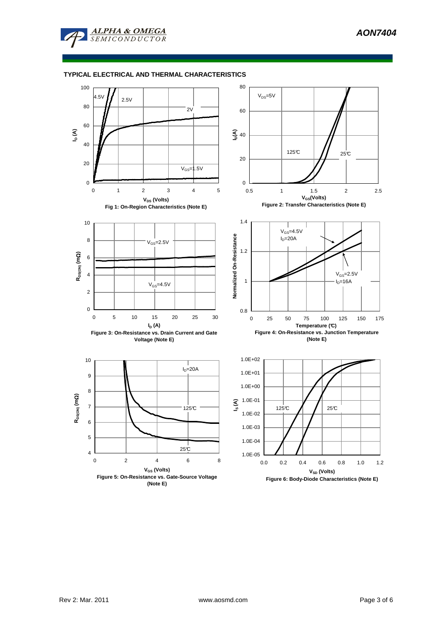

**ALPHA & OMEGA**  $SEMICONDUCTOR$ 

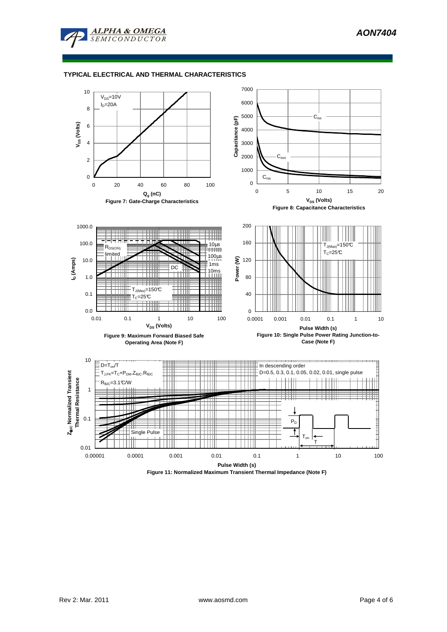

### **TYPICAL ELECTRICAL AND THERMAL CHARACTERISTICS**

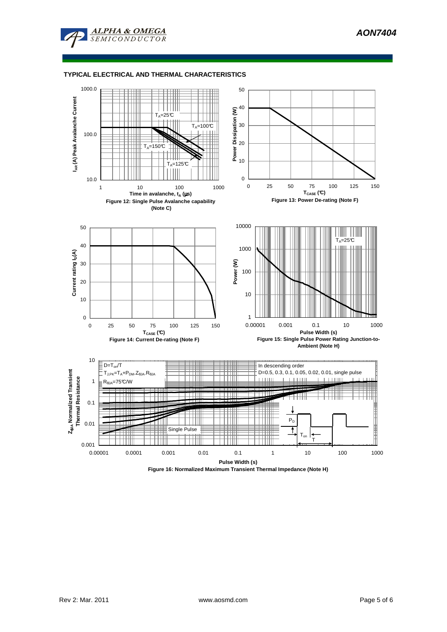

#### **TYPICAL ELECTRICAL AND THERMAL CHARACTERISTICS**